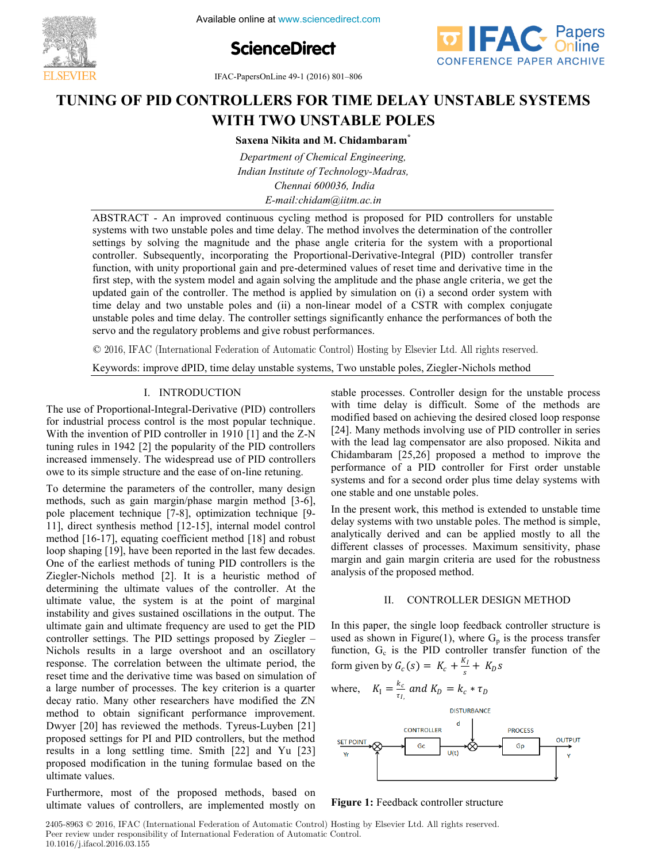Available online at www.sciencedirect.com





**IFAC-PapersOnLine 49-1 (2016) 801-806**<br> **THE** TERM TERM THAT **THE PIPER OF PIDE ASSOCIATED THE ASSOCIATED SYSTEMS**  $\frac{1}{2}$  (2010) 601-600  $T_{\text{A}}$  **TUNING**  $T_{\text{A}}$  **PID CONTROLLERS TIME 1991** (2010) 001-000

## **TUNING OF PID CONTROLLERS FOR TIME DELAY UNSTABLE SYSTEMS WITH TWO UNSTABLE POLES WITH TWO UNSTABLE POLES Saxena Nikita and M. Chidambaram\* WITH TWO UNSTABLE POLES** TUNING OF PID CONTROLLERS FOR TIME DELAY UNSTABLE SYSTEMS

**Saxena Nikita and M. Chidambaram\* Saxena Nikita and M. Chidambaram\* Saxena Nikita and M. Chidambaram\* Chidambaram\***

Indian Institute of Technology-Madras,<br>Chennai 600036, India<br>E-mail:chidam@iitm.ac.in *Indian Institute of Technology-Madras, Chennai 600036, India Indian Institute of Technology-Madras, Indian Institute of Technology-Madras, Chennai 600036, India E-mail:chidam@iitm.ac.in Chennai 600036, India Department of Chemical Engineering,*  **Saxena Nikita and M. Chidambaram\*** *Department of Chemical Engineering, Indian Institute of Technology-Madras, E-mail:chidam@iitm.ac.in Chennai 600036, India*

*E-mail:continuous cycling method is proposed for PID controllers for unstable* ABSTRACT - An improved continuous cycling method is proposed for PID controllers for unstable settings by solving the magnitude and the phase angle criteria for the system with a proportional controller. Subsequently, incorporating the Proportional-Derivative-Integral (PID) controller transfer<br>function, with unity proportional gain and pre-determined values of reset time and derivative time in the function, with unity proportional gain and pre-determined values of reset time and derivative time in the controller. Subsequently, incorporational-Derivative-Integrative-Integrative-Integral (PID) controller transfer first step, with the system model and again solving the amplitude and the phase angle criteria, we get the updated gain of the controller. The method is applied by simulation on (i) a second order system with time delay and two unstable poles and (ii) a non-linear model of a CSTR with complex conjugate<br>unstable poles and time delay. The controller settings significantly enhance the performances of both the updated gain two updated poles and  $\mu$  a non-method is a second order system complex controllers  $\mu$ unstable poles and time delay. The controller settings significantly enhance the performances of both the servo and the regulatory problems and give robust performances. systems with two unstable poles and time delay. The method involves the determination of the controller<br>settings by solving the magnitude and the phase angle criteria for the system with a proportional updated gain of the controller. The method is applied by simulation on (i) a second order system with  $\mathbb{R}$  settings significantly enhance the performance the performance the performance the performance the performance of both the performance the performance of both the performance of both the performances of both the **Figure 1:**<br> **Figure 1: Figure 1: Figure 1: Figure 1: Figure 1: Figure 1: Figure 1: Figure 1: Figure 1: Figure 1: Figure 1: Figure 1: Figure 1: Figure 1: Figure 1: Figure 1: Figure 1: Fig** 

© 2016, IFAC (International Federation of Automatic Control) Hosting by Elsevier Ltd. All rights reserved.  $\in$  2010, if the (intermediated between order nice distribution poles in  $\eta$  intervals methods in  $\eta$  $\odot$  2016, IEAC (International Ecderation of Automatic Control) Heeting by Elevier I to All rights reserved  $\approx$  2010, if  $\pi$  and  $\pi$  micromance  $\pi$  correction of  $\pi$  and give robust performance  $\pi$  $\odot$  2016, IFAC (International Federation of Automatic Control) Hosting by Elsevier Ltd. All rights reserve

Keywords: improve dPID, time delay unstable systems, Two unstable poles, Ziegler-Nichols method

#### I. INTRODUCTION . INTRODUCTION

The use of Proportional-Integral-Derivative (PID) controllers The use of Proportional-Integral-Derivative (PID) controllers<br>for industrial process control is the most popular technique. With the invention of PID controller in 1910 [1] and the  $Z-N$ With the invention of PID controller in 1910 [1] and the  $Z-N$ <br>tuning rules in 1942 [2] the popularity of the PID controllers increased immensely. The widespread use of PID controllers increased immensely. The widespread use of PID controllers<br>owe to its simple structure and the ease of on-line retuning.  $T_{\text{t}}$  Intervalential-The use of Proportional-Integral-Derivative (PID) controllers

To determine the parameters of the controller, many design To determine the parameters of the controller, many design methods, such as gain margin/phase margin method [3-6], pole placement technique [7-8], optimization technique [9-11], direct synthesis method [12-15], internal model control method [16-17], equating coefficient method [18] and robust method [16-17], equating coefficient method [18] and robust<br>loop shaping [19], have been reported in the last few decades. One of the earliest methods of tuning PID controllers is the One of the earliest methods of tuning PID controllers is the Ziegler-Nichols method [2]. It is a heuristic method of determining the ultimate values of the controller. At the determining the ultimate values of the controller. At the ultimate value, the system is at the point of marginal instability and gives sustained oscillations in the output. The instability and gives sustained oscillations in the output. The ultimate gain and ultimate frequency are used to get the PID controller settings. The PID settings proposed by Ziegler – Nichols results in a large overshoot and an oscillatory response. The correlation between the ultimate period, the response. The correlation between the ultimate period, the reset time and the derivative time was based on simulation of a large number of processes. The key criterion is a quarter decay ratio. Many other researchers have modified the ZN method to obtain significant performance improvement. Dwyer [20] has reviewed the methods. Tyreus-Luyben [21] proposed settings for PI and PID controllers, but the method results in a long settling time. Smith [22] and Yu [23] results in a long setting time. Smith  $[22]$  and Yu  $[23]$ proposed modification in the tuning formulae based on the<br>ultimate values proposed modification in the tuning formulae based on the tuning formulae based on the tuning formulae based on the tuning formulae based on the tuning formulae based on the tuning formulae based on the tuning formulae bas To determine the parameters and the case of on the returning. To determine the parameters of the controller, many design  $\frac{1}{2}$  and  $\frac{1}{2}$  and  $\frac{1}{2}$  and  $\frac{1}{2}$  and  $\frac{1}{2}$  and  $\frac{1}{2}$  and  $\frac{1}{2}$  and  $\frac{1}{2}$  and  $\frac{1}{2}$  and  $\frac{1}{2}$  and  $\frac{1}{2}$  and  $\frac{1}{2}$  and  $\frac{1}{2}$  and  $\frac{1}{2}$  and  $\frac{1}{2}$  and  $\frac{1}{2}$  a

mature values.<br>Furthermore, most of the proposed methods, based on Furthermore, most of the proposed methods, based on<br>ultimate values of controllers, are implemented mostly on ultimate values of controllers, are implemented mostly on Furthermore, most of the proposed methods, based on

with time delay is difficult. Some of the methods are with time delay is difficult. Some of the methods are<br>modified based on achieving the desired closed loop response [24]. Many methods involving use of PID controller in series with the lead lag compensator are also proposed. Nikita and Chidambaram [25,26] proposed a method to improve the performance of a PID controller for First order unstable systems and for a second order plus time delay systems with systems and for a second order plus time delay systems with one stable and one unstable poles. stable processes. Controller design for the unstable process stable processes. Controller design for the unstable process stable processes. Controller design for the unstable process In the present work, this method is extended to unstable the unstable time that the unstable time the unstable time

In the present work, this method is extended to unstable time delay systems with two unstable poles. The method is simple, analytically derived and can be applied mostly to all the different classes of processes. Maximum sensitivity, phase margin and gain margin criteria are used for the robustness<br>analysis of the proposed method. margin and gain margin criteria are used for the robustness analysis of the proposed method. In the present work, this method is extended to unstable time

# II. CONTROLLER DESIGN METHOD II. CONTROLLER DESIGN METHOD

and the property are single to process to the process transfer used as shown in Figure(1), where  $G_p$  is the process transfer function,  $G_c$  is the PID controller transfer function of the form since  $f(x) = K + \frac{K_I}{2} + K_B$ In this paper, the single loop feedback controller structure is form given by  $G_c(s) = K_c + \frac{K_I}{s} + K_D s$ In this paper, the single loop feedback controller structure is single structure is structure in the single structure is  $\mathcal{L}_\text{max}$ II. CONTROLLER DESIGN METHOD<br>In this paper, the single loop feedback controller structure is function,  $G_c$  is the PID controller transform given by  $G(s) = K + \frac{K_I}{s} + K_B s$ form given by  $G(s) = K + \frac{K_I}{s} + K_B s$ function, G<sub>c</sub> is the PID controller transfer function of the form given by  $G_c(s) = K_c + \frac{K_I}{s} + K_D s$ 

$$
K_{\rm I} = \frac{k_c}{\tau_{I_c}} \text{ and } K_{\rm D} = k_c * \tau_{D}
$$
\n
$$
K_{\rm I} = \frac{k_c}{\tau_{I_c}} \text{ and } K_{\rm D} = k_c * \tau_{D}
$$



**Figure 1:** Feedback controller structure **Figure 1:** Feedback controller structure

2405-8963 © 2016, IFAC (International Federation of Automatic Control) Hosting by Elsevier Ltd. All rights reserved. **Copyright Copyright Copyright Copyright Copyright Copyright Control.**<br> **Peer review under responsibility of International Federation of Automatic Control.** 10.1016/j.ifacol.2016.03.155 **Copyright © 2016 IFAC 801 Copyright © 2016 IFAC 801**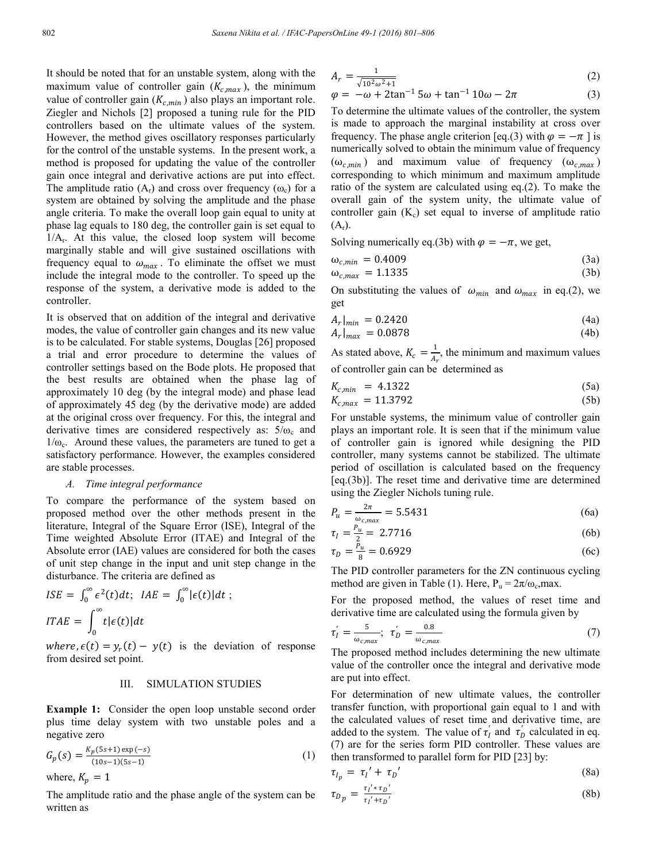It should be noted that for an unstable system, along with the maximum value of controller gain  $(K_{c,max})$ , the minimum value of controller gain  $(K_{c,min})$  also plays an important role. Ziegler and Nichols [2] proposed a tuning rule for the PID controllers based on the ultimate values of the system. However, the method gives oscillatory responses particularly for the control of the unstable systems. In the present work, a method is proposed for updating the value of the controller gain once integral and derivative actions are put into effect. The amplitude ratio  $(A_r)$  and cross over frequency  $(\omega_c)$  for a system are obtained by solving the amplitude and the phase angle criteria. To make the overall loop gain equal to unity at phase lag equals to 180 deg, the controller gain is set equal to  $1/A_r$ . At this value, the closed loop system will become marginally stable and will give sustained oscillations with frequency equal to  $\omega_{max}$ . To eliminate the offset we must include the integral mode to the controller. To speed up the response of the system, a derivative mode is added to the controller.

It is observed that on addition of the integral and derivative modes, the value of controller gain changes and its new value is to be calculated. For stable systems, Douglas [26] proposed a trial and error procedure to determine the values of controller settings based on the Bode plots. He proposed that the best results are obtained when the phase lag of approximately 10 deg (by the integral mode) and phase lead of approximately 45 deg (by the derivative mode) are added at the original cross over frequency. For this, the integral and derivative times are considered respectively as:  $5/\omega_c$  and  $1/\omega_c$ . Around these values, the parameters are tuned to get a satisfactory performance. However, the examples considered are stable processes.

#### *A. Time integral performance*

To compare the performance of the system based on proposed method over the other methods present in the literature, Integral of the Square Error (ISE), Integral of the Time weighted Absolute Error (ITAE) and Integral of the Absolute error (IAE) values are considered for both the cases of unit step change in the input and unit step change in the disturbance. The criteria are defined as

$$
ISE = \int_0^\infty \epsilon^2(t)dt; \quad IAE = \int_0^\infty |\epsilon(t)|dt;
$$
  

$$
ITAE = \int_0^\infty t|\epsilon(t)|dt
$$

where,  $\epsilon(t) = y_r(t) - y(t)$  is the deviation of response from desired set point.

#### III. SIMULATION STUDIES

**Example 1:** Consider the open loop unstable second order plus time delay system with two unstable poles and a negative zero

$$
G_p(s) = \frac{K_p(5s+1)\exp(-s)}{(10s-1)(5s-1)}
$$
  
where,  $K_p = 1$  (1)

The amplitude ratio and the phase angle of the system can be written as

$$
A_r = \frac{1}{\sqrt{10^2 \omega^2 + 1}}\tag{2}
$$

$$
\varphi = -\omega + 2\tan^{-1} 5\omega + \tan^{-1} 10\omega - 2\pi
$$
 (3)

To determine the ultimate values of the controller, the system is made to approach the marginal instability at cross over frequency. The phase angle criterion [eq.(3) with  $\varphi = -\pi$  ] is numerically solved to obtain the minimum value of frequency  $(\omega_{c,min})$  and maximum value of frequency  $(\omega_{c,max})$ corresponding to which minimum and maximum amplitude ratio of the system are calculated using eq.(2). To make the overall gain of the system unity, the ultimate value of controller gain  $(K_c)$  set equal to inverse of amplitude ratio  $(A_r)$ .

Solving numerically eq.(3b) with  $\varphi = -\pi$ , we get,

$$
\omega_{c,min} = 0.4009 \tag{3a}
$$

$$
\omega_{c,max} = 1.1335\tag{3b}
$$

On substituting the values of  $\omega_{min}$  and  $\omega_{max}$  in eq.(2), we get

$$
A_r|_{min} = 0.2420 \tag{4a}
$$

$$
A_r|_{max} = 0.0878\tag{4b}
$$

As stated above,  $K_c = \frac{1}{A_r}$ , the minimum and maximum values of controller gain can be determined as

$$
K_{c,min} = 4.1322 \tag{5a}
$$

$$
K_{c,max} = 11.3792\tag{5b}
$$

For unstable systems, the minimum value of controller gain plays an important role. It is seen that if the minimum value of controller gain is ignored while designing the PID controller, many systems cannot be stabilized. The ultimate period of oscillation is calculated based on the frequency [eq.(3b)]. The reset time and derivative time are determined using the Ziegler Nichols tuning rule.

$$
P_u = \frac{2\pi}{\omega_{c,max}} = 5.5431\tag{6a}
$$

$$
\tau_I = \frac{P_u}{2} = 2.7716\tag{6b}
$$

$$
\tau_D = \frac{P_u}{8} = 0.6929\tag{6c}
$$

The PID controller parameters for the ZN continuous cycling method are given in Table (1). Here,  $P_u = 2\pi/\omega_c$ , max.

For the proposed method, the values of reset time and derivative time are calculated using the formula given by

$$
\tau'_I = \frac{5}{\omega_{c,max}}; \quad \tau'_D = \frac{0.8}{\omega_{c,max}} \tag{7}
$$

The proposed method includes determining the new ultimate value of the controller once the integral and derivative mode are put into effect.

For determination of new ultimate values, the controller transfer function, with proportional gain equal to 1 and with the calculated values of reset time and derivative time, are added to the system. The value of  $\tau_I$  and  $\tau_D$  calculated in eq. (7) are for the series form PID controller. These values are then transformed to parallel form for PID [23] by:

$$
\tau_{I_p} = \tau_I' + \tau_D' \tag{8a}
$$

$$
\tau_{D_p} = \frac{\tau_l' * \tau_D'}{\tau_l' + \tau_D'}\tag{8b}
$$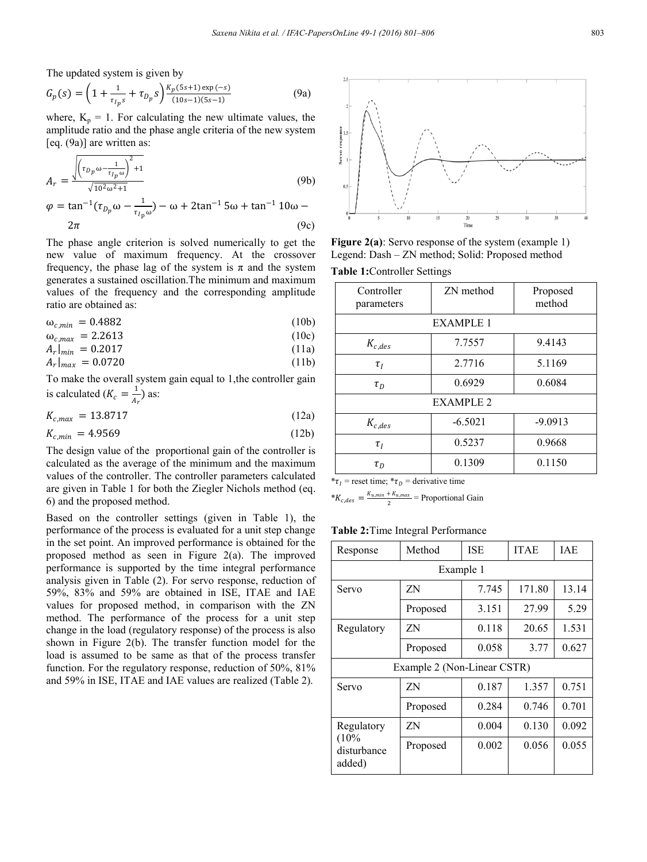The updated system is given by

$$
G_p(s) = \left(1 + \frac{1}{\tau_{lp}s} + \tau_{D_p}s\right) \frac{K_p(5s+1)\exp(-s)}{(10s-1)(5s-1)}
$$
(9a)

where,  $K_p = 1$ . For calculating the new ultimate values, the amplitude ratio and the phase angle criteria of the new system [eq. (9a)] are written as:

$$
A_{r} = \frac{\sqrt{\left(\tau_{D_{p}}\omega - \frac{1}{\tau_{I_{p}}}\omega\right)^{2} + 1}}{\sqrt{10^{2}\omega^{2} + 1}}
$$
(9b)  

$$
\varphi = \tan^{-1}(\tau_{D_{p}}\omega - \frac{1}{\tau_{I_{p}}\omega}) - \omega + 2\tan^{-1}5\omega + \tan^{-1}10\omega - 2\pi
$$
(9c)

The phase angle criterion is solved numerically to get the new value of maximum frequency. At the crossover frequency, the phase lag of the system is  $\pi$  and the system generates a sustained oscillation.The minimum and maximum values of the frequency and the corresponding amplitude ratio are obtained as:

$$
\omega_{c,min} = 0.4882 \tag{10b}
$$

$$
\omega_{c,max} = 2.2613 \tag{10c}
$$

$$
A_r|_{min} = 0.2017\tag{11a}
$$

 $A_r|_{max} = 0.0720$  (11b)

To make the overall system gain equal to 1,the controller gain is calculated  $(K_c = \frac{1}{A_r})$  as:

$$
K_{c,max} = 13.8717 \tag{12a}
$$

$$
K_{c,min} = 4.9569\tag{12b}
$$

The design value of the proportional gain of the controller is calculated as the average of the minimum and the maximum values of the controller. The controller parameters calculated are given in Table 1 for both the Ziegler Nichols method (eq. 6) and the proposed method.

Based on the controller settings (given in Table 1), the performance of the process is evaluated for a unit step change in the set point. An improved performance is obtained for the proposed method as seen in Figure 2(a). The improved performance is supported by the time integral performance analysis given in Table (2). For servo response, reduction of 59%, 83% and 59% are obtained in ISE, ITAE and IAE values for proposed method, in comparison with the ZN method. The performance of the process for a unit step change in the load (regulatory response) of the process is also shown in Figure 2(b). The transfer function model for the load is assumed to be same as that of the process transfer function. For the regulatory response, reduction of 50%, 81% and 59% in ISE, ITAE and IAE values are realized (Table 2).



**Figure 2(a)**: Servo response of the system (example 1) Legend: Dash – ZN method; Solid: Proposed method

**Table 1:**Controller Settings

| Controller<br>parameters | ZN method | Proposed<br>method |  |  |  |
|--------------------------|-----------|--------------------|--|--|--|
| <b>EXAMPLE 1</b>         |           |                    |  |  |  |
| $K_{c,des}$              | 7.7557    | 9.4143             |  |  |  |
| $\tau_I$                 | 2.7716    | 5.1169             |  |  |  |
| $\tau_D$                 | 0.6929    | 0.6084             |  |  |  |
| <b>EXAMPLE 2</b>         |           |                    |  |  |  |
| $K_{c,des}$              | $-6.5021$ | $-9.0913$          |  |  |  |
| $\tau_I$                 | 0.5237    | 0.9668             |  |  |  |
| $\tau_D$                 | 0.1309    | 0.1150             |  |  |  |

 $*_7$  = reset time;  $*_7$  = derivative time

 $*K_{c,des} = \frac{K_{u,min} + K_{u,max}}{2}$  = Proportional Gain

| Response                                    | Method   | <b>ISE</b> | <b>ITAE</b> | IAE   |  |
|---------------------------------------------|----------|------------|-------------|-------|--|
| Example 1                                   |          |            |             |       |  |
| Servo                                       | ΖN       | 7.745      | 171.80      | 13.14 |  |
|                                             | Proposed | 3.151      | 27.99       | 5.29  |  |
| Regulatory                                  | ΖN       | 0.118      | 20.65       | 1.531 |  |
|                                             | Proposed | 0.058      | 3.77        | 0.627 |  |
| Example 2 (Non-Linear CSTR)                 |          |            |             |       |  |
| Servo                                       | ΖN       | 0.187      | 1.357       | 0.751 |  |
|                                             | Proposed | 0.284      | 0.746       | 0.701 |  |
| Regulatory<br>(10%<br>disturbance<br>added) | ΖN       | 0.004      | 0.130       | 0.092 |  |
|                                             | Proposed | 0.002      | 0.056       | 0.055 |  |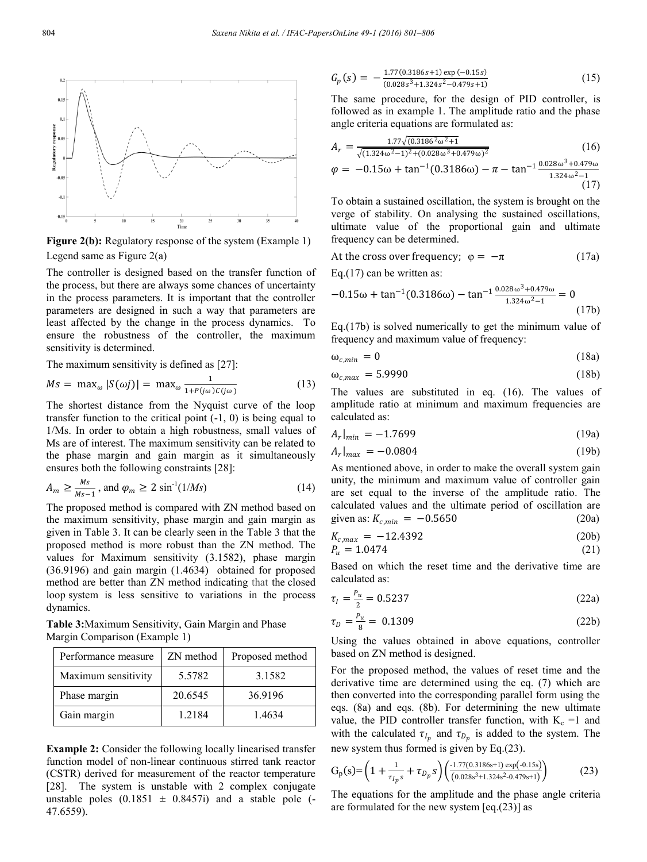

**Figure 2(b):** Regulatory response of the system (Example 1) Legend same as Figure 2(a)

The controller is designed based on the transfer function of the process, but there are always some chances of uncertainty in the process parameters. It is important that the controller parameters are designed in such a way that parameters are least affected by the change in the process dynamics. To ensure the robustness of the controller, the maximum sensitivity is determined.

The maximum sensitivity is defined as [27]:

$$
Ms = \max_{\omega} |S(\omega j)| = \max_{\omega} \frac{1}{1 + P(j\omega)C(j\omega)}
$$
(13)

The shortest distance from the Nyquist curve of the loop transfer function to the critical point (-1, 0) is being equal to 1/Ms. In order to obtain a high robustness, small values of Ms are of interest. The maximum sensitivity can be related to the phase margin and gain margin as it simultaneously ensures both the following constraints [28]:

$$
A_m \ge \frac{Ms}{Ms - 1}, \text{ and } \varphi_m \ge 2 \sin^{-1}(1/Ms) \tag{14}
$$

The proposed method is compared with ZN method based on the maximum sensitivity, phase margin and gain margin as given in Table 3. It can be clearly seen in the Table 3 that the proposed method is more robust than the ZN method. The values for Maximum sensitivity (3.1582), phase margin (36.9196) and gain margin (1.4634) obtained for proposed method are better than ZN method indicating that the closed loop system is less sensitive to variations in the process dynamics.

**Table 3:**Maximum Sensitivity, Gain Margin and Phase Margin Comparison (Example 1)

| Performance measure | ZN method | Proposed method |
|---------------------|-----------|-----------------|
| Maximum sensitivity | 5.5782    | 3.1582          |
| Phase margin        | 20.6545   | 36.9196         |
| Gain margin         | 1.2184    | 1.4634          |

**Example 2:** Consider the following locally linearised transfer function model of non-linear continuous stirred tank reactor (CSTR) derived for measurement of the reactor temperature [28]. The system is unstable with 2 complex conjugate unstable poles  $(0.1851 \pm 0.8457i)$  and a stable pole (-47.6559).

$$
G_p(s) = -\frac{1.77(0.3186 s + 1) \exp(-0.15 s)}{(0.028 s^3 + 1.324 s^2 - 0.479 s + 1)}
$$
(15)

The same procedure, for the design of PID controller, is followed as in example 1. The amplitude ratio and the phase angle criteria equations are formulated as:

$$
A_r = \frac{1.77\sqrt{(0.3186^2\omega^2 + 1)}}{\sqrt{(1.324\omega^2 - 1)^2 + (0.028\omega^3 + 0.479\omega)^2}}
$$
(16)

$$
\varphi = -0.15\omega + \tan^{-1}(0.3186\omega) - \pi - \tan^{-1}\frac{0.028\omega^3 + 0.479\omega}{1.324\omega^2 - 1}
$$
\n(17)

To obtain a sustained oscillation, the system is brought on the verge of stability. On analysing the sustained oscillations, ultimate value of the proportional gain and ultimate frequency can be determined.

At the cross over frequency; 
$$
\varphi = -\pi
$$
 (17a)

Eq.(17) can be written as:

$$
-0.15\omega + \tan^{-1}(0.3186\omega) - \tan^{-1}\frac{0.028\omega^3 + 0.479\omega}{1.324\omega^2 - 1} = 0
$$
\n(17b)

Eq.(17b) is solved numerically to get the minimum value of frequency and maximum value of frequency:

$$
\omega_{c,min} = 0 \tag{18a}
$$

$$
\omega_{c,max} = 5.9990 \tag{18b}
$$

The values are substituted in eq. (16). The values of amplitude ratio at minimum and maximum frequencies are calculated as:

$$
A_r|_{min} = -1.7699\tag{19a}
$$

$$
A_r|_{max} = -0.0804 \tag{19b}
$$

As mentioned above, in order to make the overall system gain unity, the minimum and maximum value of controller gain are set equal to the inverse of the amplitude ratio. The calculated values and the ultimate period of oscillation are given as:  $K_{c,min} = -0.5650$  (20a)

$$
K_{c,max} = -12.4392 \tag{20b}
$$

$$
P_u = 1.0474 \tag{21}
$$

Based on which the reset time and the derivative time are calculated as:

$$
\tau_I = \frac{P_u}{2} = 0.5237\tag{22a}
$$

$$
\tau_D = \frac{P_u}{8} = 0.1309\tag{22b}
$$

Using the values obtained in above equations, controller based on ZN method is designed.

For the proposed method, the values of reset time and the derivative time are determined using the eq. (7) which are then converted into the corresponding parallel form using the eqs. (8a) and eqs. (8b). For determining the new ultimate value, the PID controller transfer function, with  $K_c =1$  and with the calculated  $\tau_{I_p}$  and  $\tau_{D_p}$  is added to the system. The new system thus formed is given by Eq.(23).

$$
G_p(s) = \left(1 + \frac{1}{\tau_{lp}s} + \tau_{D_p}s\right) \left(\frac{1.77(0.3186s + 1)\exp(-0.15s)}{(0.028s^3 + 1.324s^2 - 0.479s + 1)}\right)
$$
(23)

The equations for the amplitude and the phase angle criteria are formulated for the new system [eq.(23)] as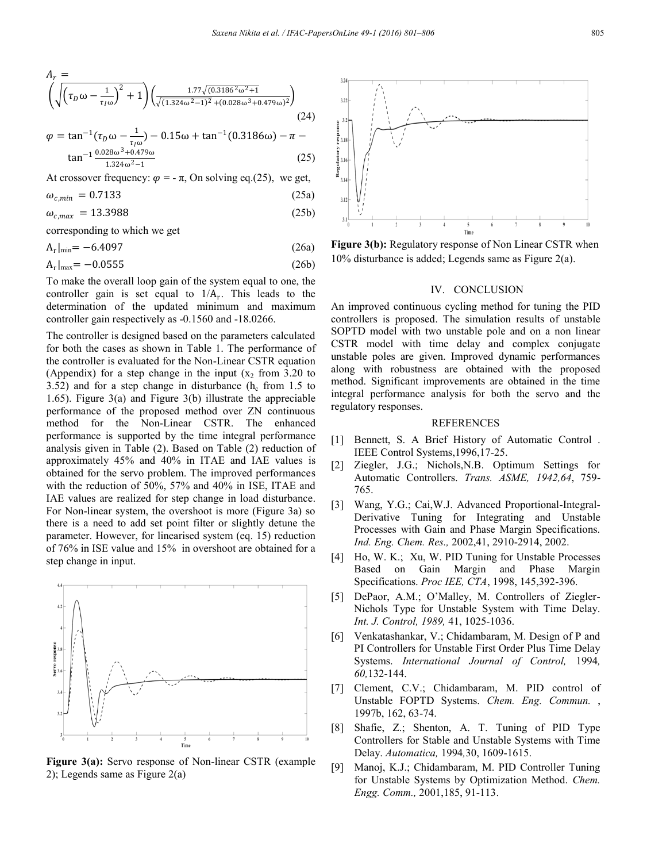$$
A_r = \left(\sqrt{\left(\tau_D \omega - \frac{1}{\tau_I \omega}\right)^2 + 1}\right) \left(\frac{1.77\sqrt{(0.3186^2 \omega^2 + 1)}}{\sqrt{(1.324 \omega^2 - 1)^2} + (0.028 \omega^3 + 0.479 \omega)^2}}\right)
$$
(24)

$$
\varphi = \tan^{-1}(\tau_D \omega - \frac{1}{\tau_I \omega}) - 0.15\omega + \tan^{-1}(0.3186\omega) - \pi - \tan^{-1}\frac{0.028\omega^3 + 0.479\omega}{1.324\omega^2 - 1}
$$
\n(25)

At crossover frequency:  $\varphi = -\pi$ , On solving eq.(25), we get,

$$
\omega_{c,min} = 0.7133 \tag{25a}
$$

 $\omega_{c,max} = 13.3988$  (25b)

corresponding to which we get

$$
A_r|_{\text{min}} = -6.4097\tag{26a}
$$

$$
A_r|_{\text{max}} = -0.0555\tag{26b}
$$

To make the overall loop gain of the system equal to one, the controller gain is set equal to  $1/A_r$ . This leads to the determination of the updated minimum and maximum controller gain respectively as -0.1560 and -18.0266.

The controller is designed based on the parameters calculated for both the cases as shown in Table 1. The performance of the controller is evaluated for the Non-Linear CSTR equation (Appendix) for a step change in the input  $(x_2 \text{ from } 3.20 \text{ to }$ 3.52) and for a step change in disturbance  $(h_c \text{ from } 1.5 \text{ to } 1.5)$ 1.65). Figure 3(a) and Figure 3(b) illustrate the appreciable performance of the proposed method over ZN continuous method for the Non-Linear CSTR. The enhanced performance is supported by the time integral performance analysis given in Table (2). Based on Table (2) reduction of approximately 45% and 40% in ITAE and IAE values is obtained for the servo problem. The improved performances with the reduction of 50%, 57% and 40% in ISE, ITAE and IAE values are realized for step change in load disturbance. For Non-linear system, the overshoot is more (Figure 3a) so there is a need to add set point filter or slightly detune the parameter. However, for linearised system (eq. 15) reduction of 76% in ISE value and 15% in overshoot are obtained for a step change in input.



**Figure 3(a):** Servo response of Non-linear CSTR (example 2); Legends same as Figure 2(a)



**Figure 3(b):** Regulatory response of Non Linear CSTR when 10% disturbance is added; Legends same as Figure 2(a).

#### IV. CONCLUSION

An improved continuous cycling method for tuning the PID controllers is proposed. The simulation results of unstable SOPTD model with two unstable pole and on a non linear CSTR model with time delay and complex conjugate unstable poles are given. Improved dynamic performances along with robustness are obtained with the proposed method. Significant improvements are obtained in the time integral performance analysis for both the servo and the regulatory responses.

### REFERENCES

- [1] Bennett, S. A Brief History of Automatic Control. IEEE Control Systems,1996,17-25.
- [2] Ziegler, J.G.; Nichols,N.B. Optimum Settings for Automatic Controllers. *Trans. ASME, 1942,64*, 759- 765.
- [3] Wang, Y.G.; Cai,W.J. Advanced Proportional-Integral-Derivative Tuning for Integrating and Unstable Processes with Gain and Phase Margin Specifications. *Ind. Eng. Chem. Res.,* 2002,41, 2910-2914, 2002.
- [4] Ho, W. K.; Xu, W. PID Tuning for Unstable Processes Based on Gain Margin and Phase Margin Specifications. *Proc IEE, CTA*, 1998, 145,392-396.
- [5] DePaor, A.M.; O'Malley, M. Controllers of Ziegler-Nichols Type for Unstable System with Time Delay. *Int. J. Control, 1989,* 41, 1025-1036.
- [6] Venkatashankar, V.; Chidambaram, M. Design of P and PI Controllers for Unstable First Order Plus Time Delay Systems. *International Journal of Control,* 1994*, 60,*132-144.
- [7] Clement, C.V.; Chidambaram, M. PID control of Unstable FOPTD Systems. *Chem. Eng. Commun.* , 1997b, 162, 63-74.
- [8] Shafie, Z.; Shenton, A. T. Tuning of PID Type Controllers for Stable and Unstable Systems with Time Delay. *Automatica,* 1994*,*30, 1609-1615.
- [9] Manoj, K.J.; Chidambaram, M. PID Controller Tuning for Unstable Systems by Optimization Method. *Chem. Engg. Comm.,* 2001,185, 91-113.